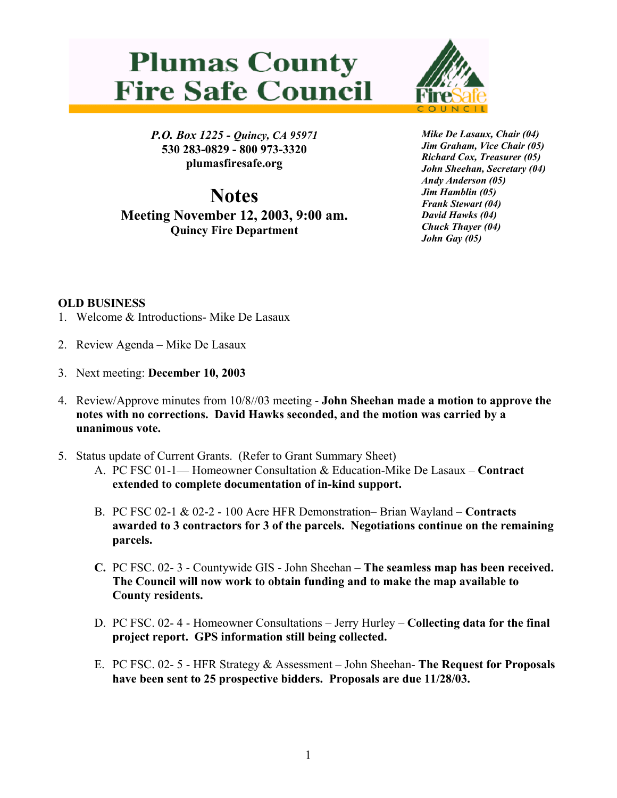## **Plumas County Fire Safe Council**



*P.O. Box 1225 - Quincy, CA 95971*  **530 283-0829 - 800 973-3320 plumasfiresafe.org** 

**Notes Meeting November 12, 2003, 9:00 am. Quincy Fire Department**

*Mike De Lasaux, Chair (04) Jim Graham, Vice Chair (05) Richard Cox, Treasurer (05) John Sheehan, Secretary (04) Andy Anderson (05) Jim Hamblin (05) Frank Stewart (04) David Hawks (04) Chuck Thayer (04) John Gay (05)*

## **OLD BUSINESS**

- 1. Welcome & Introductions- Mike De Lasaux
- 2. Review Agenda Mike De Lasaux
- 3. Next meeting: **December 10, 2003**
- 4. Review/Approve minutes from 10/8//03 meeting **John Sheehan made a motion to approve the notes with no corrections. David Hawks seconded, and the motion was carried by a unanimous vote.**
- 5. Status update of Current Grants. (Refer to Grant Summary Sheet)
	- A. PC FSC 01-1— Homeowner Consultation & Education-Mike De Lasaux **Contract extended to complete documentation of in-kind support.**
	- B. PC FSC 02-1 & 02-2 100 Acre HFR Demonstration– Brian Wayland **Contracts awarded to 3 contractors for 3 of the parcels. Negotiations continue on the remaining parcels.**
	- **C.** PC FSC. 02- 3 Countywide GIS John Sheehan **The seamless map has been received. The Council will now work to obtain funding and to make the map available to County residents.**
	- D. PC FSC. 02- 4 Homeowner Consultations Jerry Hurley **Collecting data for the final project report. GPS information still being collected.**
	- E. PC FSC. 02- 5 HFR Strategy & Assessment John Sheehan- **The Request for Proposals have been sent to 25 prospective bidders. Proposals are due 11/28/03.**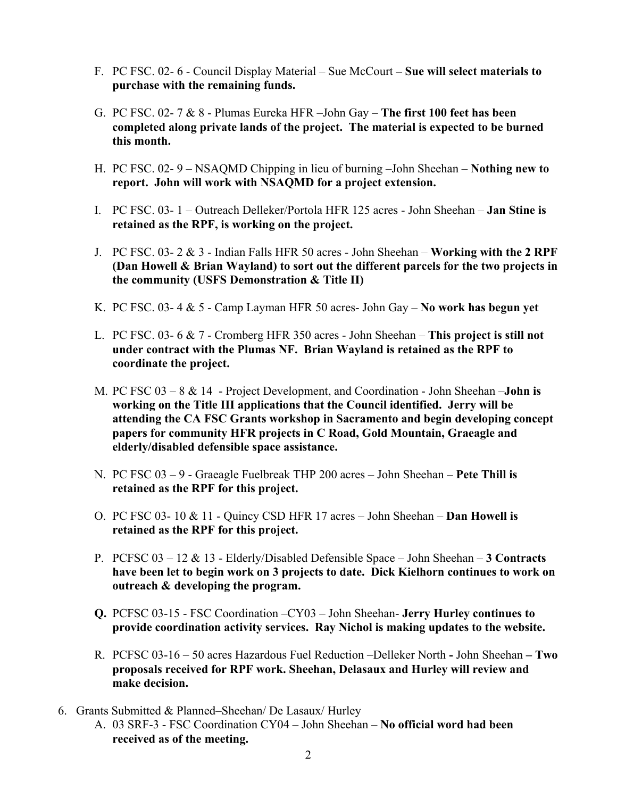- F. PC FSC. 02- 6 Council Display Material Sue McCourt  **Sue will select materials to purchase with the remaining funds.**
- G. PC FSC. 02- 7 & 8 Plumas Eureka HFR –John Gay **The first 100 feet has been completed along private lands of the project. The material is expected to be burned this month.**
- H. PC FSC. 02- 9 NSAQMD Chipping in lieu of burning –John Sheehan **Nothing new to report. John will work with NSAQMD for a project extension.**
- I. PC FSC. 03- 1 Outreach Delleker/Portola HFR 125 acres John Sheehan **Jan Stine is retained as the RPF, is working on the project.**
- J. PC FSC. 03- 2 & 3 Indian Falls HFR 50 acres John Sheehan **Working with the 2 RPF (Dan Howell & Brian Wayland) to sort out the different parcels for the two projects in the community (USFS Demonstration & Title II)**
- K. PC FSC. 03- 4 & 5 Camp Layman HFR 50 acres- John Gay **No work has begun yet**
- L. PC FSC. 03- 6 & 7 Cromberg HFR 350 acres John Sheehan **This project is still not under contract with the Plumas NF. Brian Wayland is retained as the RPF to coordinate the project.**
- M. PC FSC 03 8 & 14 Project Development, and Coordination John Sheehan –**John is working on the Title III applications that the Council identified. Jerry will be attending the CA FSC Grants workshop in Sacramento and begin developing concept papers for community HFR projects in C Road, Gold Mountain, Graeagle and elderly/disabled defensible space assistance.**
- N. PC FSC 03 9 Graeagle Fuelbreak THP 200 acres John Sheehan **Pete Thill is retained as the RPF for this project.**
- O. PC FSC 03- 10 & 11 Quincy CSD HFR 17 acres John Sheehan – **Dan Howell is retained as the RPF for this project.**
- P. PCFSC 03 12 & 13 Elderly/Disabled Defensible Space John Sheehan **3 Contracts have been let to begin work on 3 projects to date. Dick Kielhorn continues to work on outreach & developing the program.**
- **Q.** PCFSC 03-15 FSC Coordination –CY03 John Sheehan- **Jerry Hurley continues to provide coordination activity services. Ray Nichol is making updates to the website.**
- R. PCFSC 03-16 50 acres Hazardous Fuel Reduction –Delleker North **-** John Sheehan **Two proposals received for RPF work. Sheehan, Delasaux and Hurley will review and make decision.**
- 6. Grants Submitted & Planned–Sheehan/ De Lasaux/ Hurley A. 03 SRF-3 - FSC Coordination CY04 – John Sheehan – **No official word had been received as of the meeting.**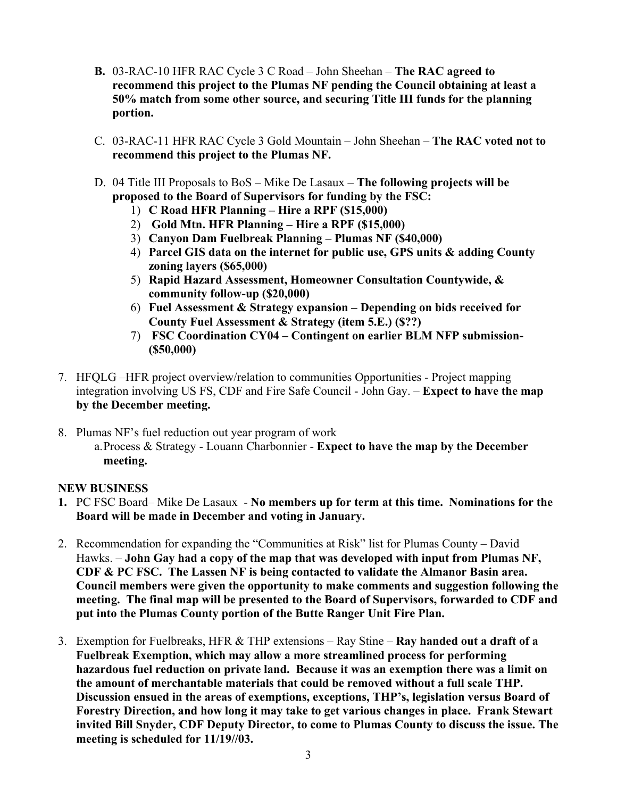- **B.** 03-RAC-10 HFR RAC Cycle 3 C Road John Sheehan **The RAC agreed to recommend this project to the Plumas NF pending the Council obtaining at least a 50% match from some other source, and securing Title III funds for the planning portion.**
- C. 03-RAC-11 HFR RAC Cycle 3 Gold Mountain John Sheehan **The RAC voted not to recommend this project to the Plumas NF.**
- D. 04 Title III Proposals to BoS Mike De Lasaux **The following projects will be proposed to the Board of Supervisors for funding by the FSC:**
	- 1) **C Road HFR Planning Hire a RPF (\$15,000)**
	- 2) **Gold Mtn. HFR Planning Hire a RPF (\$15,000)**
	- 3) **Canyon Dam Fuelbreak Planning Plumas NF (\$40,000)**
	- 4) **Parcel GIS data on the internet for public use, GPS units & adding County zoning layers (\$65,000)**
	- 5) **Rapid Hazard Assessment, Homeowner Consultation Countywide, & community follow-up (\$20,000)**
	- 6) **Fuel Assessment & Strategy expansion Depending on bids received for County Fuel Assessment & Strategy (item 5.E.) (\$??)**
	- 7) **FSC Coordination CY04 Contingent on earlier BLM NFP submission- (\$50,000)**
- 7. HFQLG –HFR project overview/relation to communities Opportunities Project mapping integration involving US FS, CDF and Fire Safe Council - John Gay. – **Expect to have the map by the December meeting.**
- 8. Plumas NF's fuel reduction out year program of work a. Process & Strategy - Louann Charbonnier - **Expect to have the map by the December meeting.**

## **NEW BUSINESS**

- **1.** PC FSC Board– Mike De Lasaux **No members up for term at this time. Nominations for the Board will be made in December and voting in January.**
- 2. Recommendation for expanding the "Communities at Risk" list for Plumas County David Hawks. – **John Gay had a copy of the map that was developed with input from Plumas NF, CDF & PC FSC. The Lassen NF is being contacted to validate the Almanor Basin area. Council members were given the opportunity to make comments and suggestion following the meeting. The final map will be presented to the Board of Supervisors, forwarded to CDF and put into the Plumas County portion of the Butte Ranger Unit Fire Plan.**
- 3. Exemption for Fuelbreaks, HFR & THP extensions Ray Stine **Ray handed out a draft of a Fuelbreak Exemption, which may allow a more streamlined process for performing hazardous fuel reduction on private land. Because it was an exemption there was a limit on the amount of merchantable materials that could be removed without a full scale THP. Discussion ensued in the areas of exemptions, exceptions, THP's, legislation versus Board of Forestry Direction, and how long it may take to get various changes in place. Frank Stewart invited Bill Snyder, CDF Deputy Director, to come to Plumas County to discuss the issue. The meeting is scheduled for 11/19//03.**